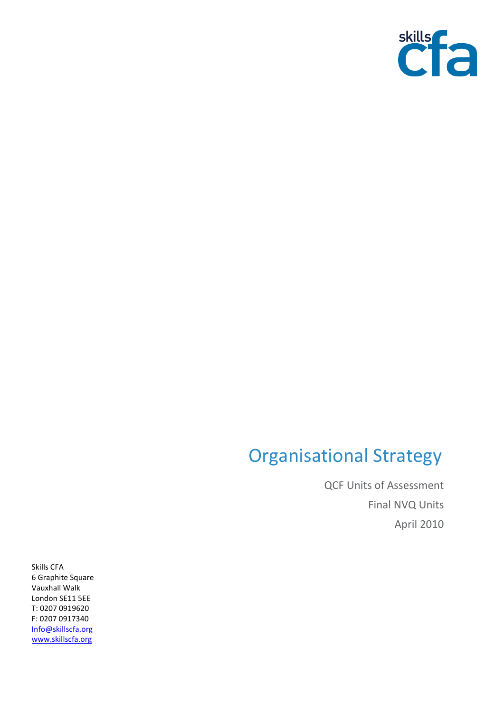

## Organisational Strategy

QCF Units of Assessment Final NVQ Units April 2010

Skills CFA 6 Graphite Square Vauxhall Walk London SE11 5EE T: 0207 0919620 F: 0207 0917340 [Info@skillscfa.org](mailto:Info@skillscfa.org) [www.skillscfa.org](http://www.skillscfa.org/)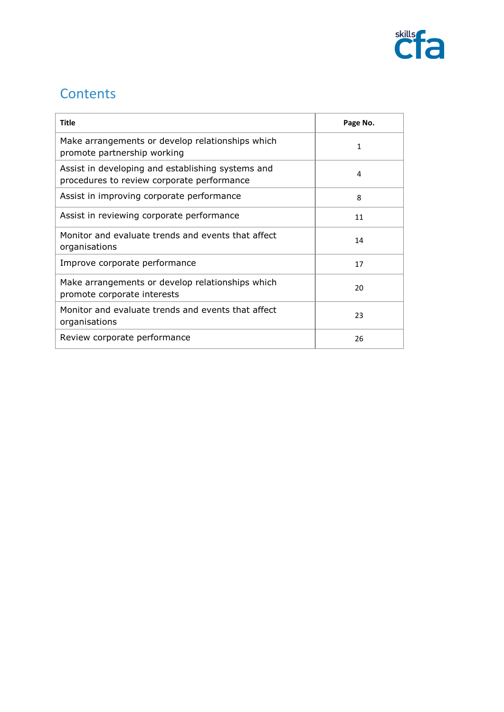

## **Contents**

| <b>Title</b>                                                                                    | Page No. |
|-------------------------------------------------------------------------------------------------|----------|
| Make arrangements or develop relationships which<br>promote partnership working                 | 1        |
| Assist in developing and establishing systems and<br>procedures to review corporate performance | 4        |
| Assist in improving corporate performance                                                       | 8        |
| Assist in reviewing corporate performance                                                       | 11       |
| Monitor and evaluate trends and events that affect<br>organisations                             | 14       |
| Improve corporate performance                                                                   | 17       |
| Make arrangements or develop relationships which<br>promote corporate interests                 | 20       |
| Monitor and evaluate trends and events that affect<br>organisations                             | 23       |
| Review corporate performance                                                                    | 26       |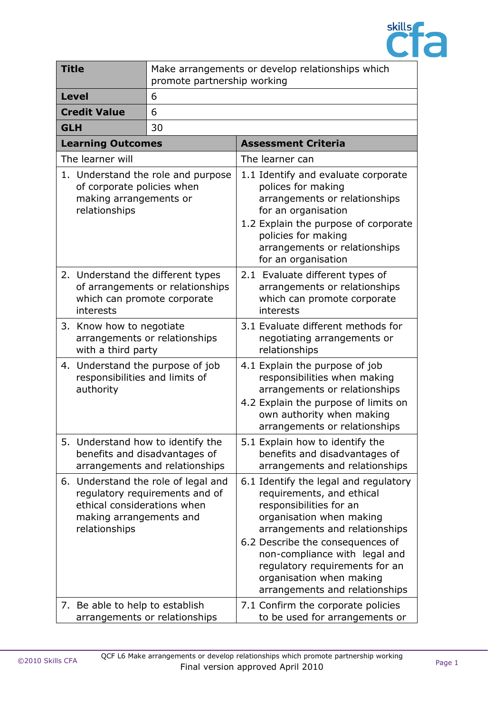

| <b>Title</b>                                   | Make arrangements or develop relationships which<br>promote partnership working                                                 |                                                                                                                                                                                                                                                                                                                                  |
|------------------------------------------------|---------------------------------------------------------------------------------------------------------------------------------|----------------------------------------------------------------------------------------------------------------------------------------------------------------------------------------------------------------------------------------------------------------------------------------------------------------------------------|
| <b>Level</b>                                   | 6                                                                                                                               |                                                                                                                                                                                                                                                                                                                                  |
| <b>Credit Value</b>                            | 6                                                                                                                               |                                                                                                                                                                                                                                                                                                                                  |
| <b>GLH</b>                                     | 30                                                                                                                              |                                                                                                                                                                                                                                                                                                                                  |
| <b>Learning Outcomes</b>                       |                                                                                                                                 | <b>Assessment Criteria</b>                                                                                                                                                                                                                                                                                                       |
| The learner will                               |                                                                                                                                 | The learner can                                                                                                                                                                                                                                                                                                                  |
| making arrangements or<br>relationships        | 1. Understand the role and purpose<br>of corporate policies when                                                                | 1.1 Identify and evaluate corporate<br>polices for making<br>arrangements or relationships<br>for an organisation<br>1.2 Explain the purpose of corporate<br>policies for making<br>arrangements or relationships<br>for an organisation                                                                                         |
| interests                                      | 2. Understand the different types<br>of arrangements or relationships<br>which can promote corporate                            | 2.1 Evaluate different types of<br>arrangements or relationships<br>which can promote corporate<br>interests                                                                                                                                                                                                                     |
| 3. Know how to negotiate<br>with a third party | arrangements or relationships                                                                                                   | 3.1 Evaluate different methods for<br>negotiating arrangements or<br>relationships                                                                                                                                                                                                                                               |
| authority                                      | 4. Understand the purpose of job<br>responsibilities and limits of                                                              | 4.1 Explain the purpose of job<br>responsibilities when making<br>arrangements or relationships<br>4.2 Explain the purpose of limits on<br>own authority when making<br>arrangements or relationships                                                                                                                            |
|                                                | 5. Understand how to identify the<br>benefits and disadvantages of<br>arrangements and relationships                            | 5.1 Explain how to identify the<br>benefits and disadvantages of<br>arrangements and relationships                                                                                                                                                                                                                               |
| relationships                                  | 6. Understand the role of legal and<br>regulatory requirements and of<br>ethical considerations when<br>making arrangements and | 6.1 Identify the legal and regulatory<br>requirements, and ethical<br>responsibilities for an<br>organisation when making<br>arrangements and relationships<br>6.2 Describe the consequences of<br>non-compliance with legal and<br>regulatory requirements for an<br>organisation when making<br>arrangements and relationships |
| 7. Be able to help to establish                | arrangements or relationships                                                                                                   | 7.1 Confirm the corporate policies<br>to be used for arrangements or                                                                                                                                                                                                                                                             |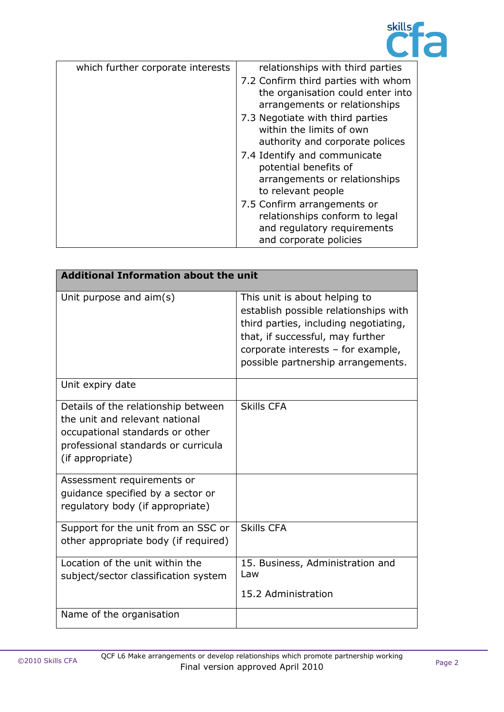

| which further corporate interests | relationships with third parties                                                                                       |
|-----------------------------------|------------------------------------------------------------------------------------------------------------------------|
|                                   | 7.2 Confirm third parties with whom<br>the organisation could enter into<br>arrangements or relationships              |
|                                   | 7.3 Negotiate with third parties<br>within the limits of own<br>authority and corporate polices                        |
|                                   | 7.4 Identify and communicate<br>potential benefits of<br>arrangements or relationships<br>to relevant people           |
|                                   | 7.5 Confirm arrangements or<br>relationships conform to legal<br>and regulatory requirements<br>and corporate policies |

| <b>Additional Information about the unit</b>                                                                                                                        |                                                                                                                                                                                                                                 |
|---------------------------------------------------------------------------------------------------------------------------------------------------------------------|---------------------------------------------------------------------------------------------------------------------------------------------------------------------------------------------------------------------------------|
| Unit purpose and $aim(s)$                                                                                                                                           | This unit is about helping to<br>establish possible relationships with<br>third parties, including negotiating,<br>that, if successful, may further<br>corporate interests - for example,<br>possible partnership arrangements. |
| Unit expiry date                                                                                                                                                    |                                                                                                                                                                                                                                 |
| Details of the relationship between<br>the unit and relevant national<br>occupational standards or other<br>professional standards or curricula<br>(if appropriate) | <b>Skills CFA</b>                                                                                                                                                                                                               |
| Assessment requirements or<br>quidance specified by a sector or<br>regulatory body (if appropriate)                                                                 |                                                                                                                                                                                                                                 |
| Support for the unit from an SSC or<br>other appropriate body (if required)                                                                                         | <b>Skills CFA</b>                                                                                                                                                                                                               |
| Location of the unit within the<br>subject/sector classification system                                                                                             | 15. Business, Administration and<br>Law<br>15.2 Administration                                                                                                                                                                  |
| Name of the organisation                                                                                                                                            |                                                                                                                                                                                                                                 |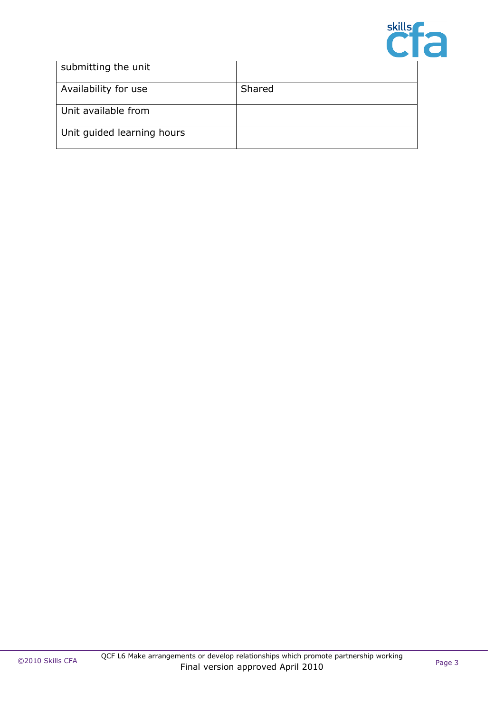

| submitting the unit        |        |
|----------------------------|--------|
| Availability for use       | Shared |
| Unit available from        |        |
| Unit guided learning hours |        |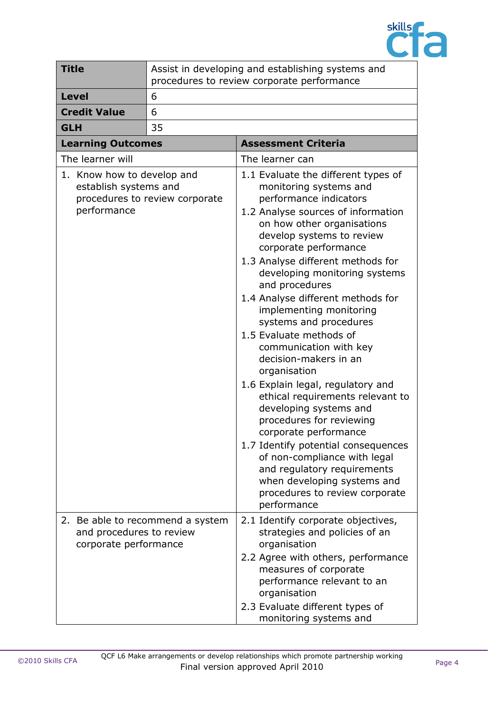

| <b>Title</b> |                                                                    | Assist in developing and establishing systems and<br>procedures to review corporate performance |                                                                                                                                                                                                                                                                                                                                                                                                                                                                                                                                                                                                                                                                                                                                                                                                                                                 |
|--------------|--------------------------------------------------------------------|-------------------------------------------------------------------------------------------------|-------------------------------------------------------------------------------------------------------------------------------------------------------------------------------------------------------------------------------------------------------------------------------------------------------------------------------------------------------------------------------------------------------------------------------------------------------------------------------------------------------------------------------------------------------------------------------------------------------------------------------------------------------------------------------------------------------------------------------------------------------------------------------------------------------------------------------------------------|
| <b>Level</b> |                                                                    | 6                                                                                               |                                                                                                                                                                                                                                                                                                                                                                                                                                                                                                                                                                                                                                                                                                                                                                                                                                                 |
|              | <b>Credit Value</b>                                                | 6                                                                                               |                                                                                                                                                                                                                                                                                                                                                                                                                                                                                                                                                                                                                                                                                                                                                                                                                                                 |
| <b>GLH</b>   |                                                                    | 35                                                                                              |                                                                                                                                                                                                                                                                                                                                                                                                                                                                                                                                                                                                                                                                                                                                                                                                                                                 |
|              | <b>Learning Outcomes</b>                                           |                                                                                                 | <b>Assessment Criteria</b>                                                                                                                                                                                                                                                                                                                                                                                                                                                                                                                                                                                                                                                                                                                                                                                                                      |
|              | The learner will                                                   |                                                                                                 | The learner can                                                                                                                                                                                                                                                                                                                                                                                                                                                                                                                                                                                                                                                                                                                                                                                                                                 |
|              | 1. Know how to develop and<br>establish systems and<br>performance | procedures to review corporate                                                                  | 1.1 Evaluate the different types of<br>monitoring systems and<br>performance indicators<br>1.2 Analyse sources of information<br>on how other organisations<br>develop systems to review<br>corporate performance<br>1.3 Analyse different methods for<br>developing monitoring systems<br>and procedures<br>1.4 Analyse different methods for<br>implementing monitoring<br>systems and procedures<br>1.5 Evaluate methods of<br>communication with key<br>decision-makers in an<br>organisation<br>1.6 Explain legal, regulatory and<br>ethical requirements relevant to<br>developing systems and<br>procedures for reviewing<br>corporate performance<br>1.7 Identify potential consequences<br>of non-compliance with legal<br>and regulatory requirements<br>when developing systems and<br>procedures to review corporate<br>performance |
|              | and procedures to review                                           | 2. Be able to recommend a system                                                                | 2.1 Identify corporate objectives,<br>strategies and policies of an                                                                                                                                                                                                                                                                                                                                                                                                                                                                                                                                                                                                                                                                                                                                                                             |
|              | corporate performance                                              |                                                                                                 | organisation<br>2.2 Agree with others, performance<br>measures of corporate<br>performance relevant to an<br>organisation<br>2.3 Evaluate different types of<br>monitoring systems and                                                                                                                                                                                                                                                                                                                                                                                                                                                                                                                                                                                                                                                          |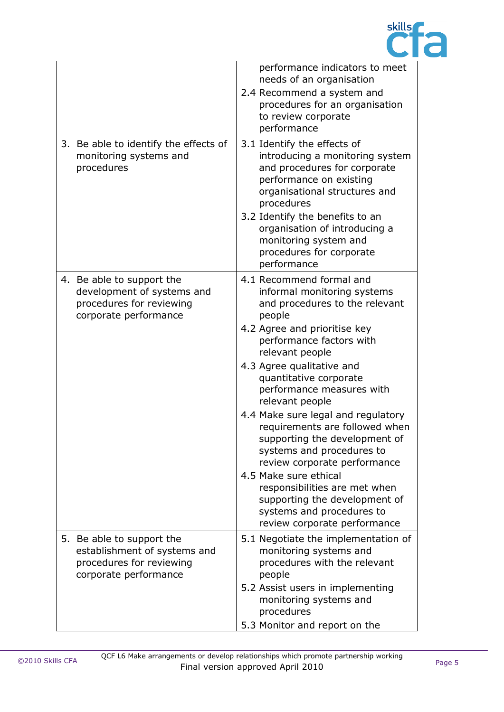

| performance indicators to meet<br>2.4 Recommend a system and<br>procedures for an organisation                                                                                                                                                                                                                                                                                                  |
|-------------------------------------------------------------------------------------------------------------------------------------------------------------------------------------------------------------------------------------------------------------------------------------------------------------------------------------------------------------------------------------------------|
| introducing a monitoring system<br>and procedures for corporate<br>organisational structures and<br>organisation of introducing a                                                                                                                                                                                                                                                               |
| informal monitoring systems<br>and procedures to the relevant<br>performance measures with<br>4.4 Make sure legal and regulatory<br>requirements are followed when<br>supporting the development of<br>systems and procedures to<br>review corporate performance<br>responsibilities are met when<br>supporting the development of<br>systems and procedures to<br>review corporate performance |
| 5.1 Negotiate the implementation of<br>procedures with the relevant<br>5.2 Assist users in implementing                                                                                                                                                                                                                                                                                         |
|                                                                                                                                                                                                                                                                                                                                                                                                 |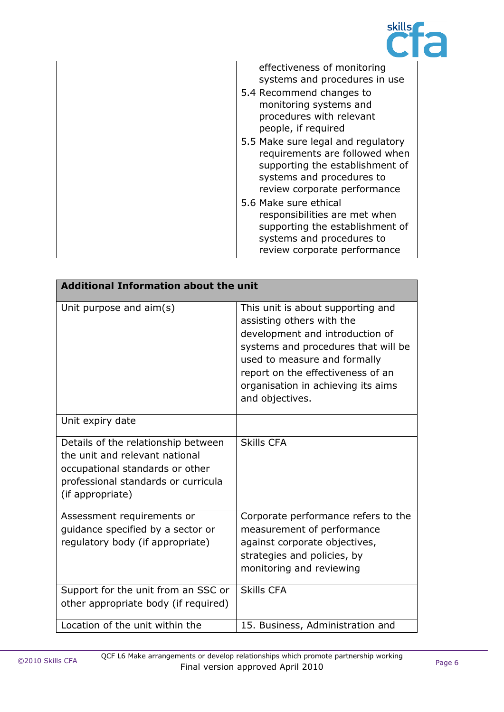

| effectiveness of monitoring<br>systems and procedures in use<br>5.4 Recommend changes to<br>monitoring systems and<br>procedures with relevant<br>people, if required |
|-----------------------------------------------------------------------------------------------------------------------------------------------------------------------|
| 5.5 Make sure legal and regulatory<br>requirements are followed when<br>supporting the establishment of<br>systems and procedures to<br>review corporate performance  |
| 5.6 Make sure ethical<br>responsibilities are met when<br>supporting the establishment of<br>systems and procedures to<br>review corporate performance                |

| <b>Additional Information about the unit</b>                                                                                                                        |                                                                                                                                                                                                                                                                        |  |
|---------------------------------------------------------------------------------------------------------------------------------------------------------------------|------------------------------------------------------------------------------------------------------------------------------------------------------------------------------------------------------------------------------------------------------------------------|--|
| Unit purpose and aim(s)                                                                                                                                             | This unit is about supporting and<br>assisting others with the<br>development and introduction of<br>systems and procedures that will be<br>used to measure and formally<br>report on the effectiveness of an<br>organisation in achieving its aims<br>and objectives. |  |
| Unit expiry date                                                                                                                                                    |                                                                                                                                                                                                                                                                        |  |
| Details of the relationship between<br>the unit and relevant national<br>occupational standards or other<br>professional standards or curricula<br>(if appropriate) | <b>Skills CFA</b>                                                                                                                                                                                                                                                      |  |
| Assessment requirements or<br>guidance specified by a sector or<br>regulatory body (if appropriate)                                                                 | Corporate performance refers to the<br>measurement of performance<br>against corporate objectives,<br>strategies and policies, by<br>monitoring and reviewing                                                                                                          |  |
| Support for the unit from an SSC or<br>other appropriate body (if required)                                                                                         | <b>Skills CFA</b>                                                                                                                                                                                                                                                      |  |
| Location of the unit within the                                                                                                                                     | 15. Business, Administration and                                                                                                                                                                                                                                       |  |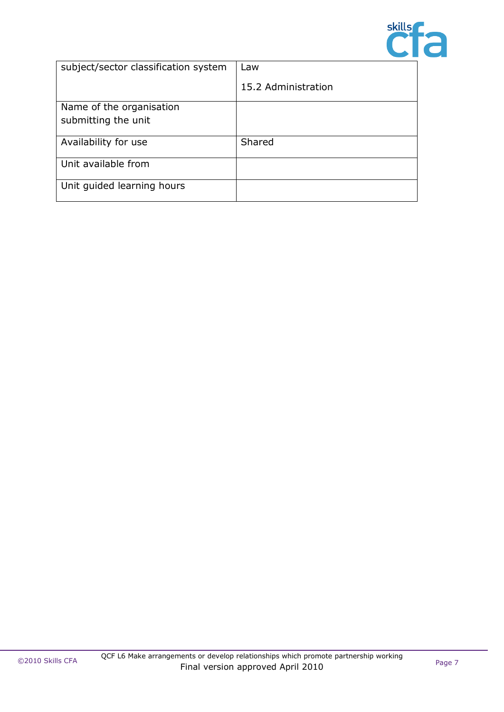

| subject/sector classification system | Law                 |
|--------------------------------------|---------------------|
|                                      | 15.2 Administration |
| Name of the organisation             |                     |
| submitting the unit                  |                     |
|                                      |                     |
| Availability for use                 | Shared              |
| Unit available from                  |                     |
|                                      |                     |
| Unit guided learning hours           |                     |
|                                      |                     |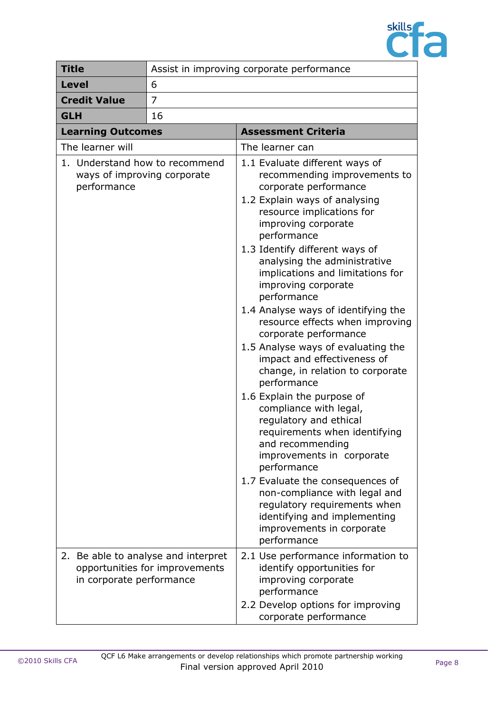

| <b>Title</b>             | Assist in improving corporate performance                             |                                                                                                                                                                                                                                                                                                                                                                                                                                                                                                                                                                                                                                                                                                                                                                                                                                                                                                                                        |
|--------------------------|-----------------------------------------------------------------------|----------------------------------------------------------------------------------------------------------------------------------------------------------------------------------------------------------------------------------------------------------------------------------------------------------------------------------------------------------------------------------------------------------------------------------------------------------------------------------------------------------------------------------------------------------------------------------------------------------------------------------------------------------------------------------------------------------------------------------------------------------------------------------------------------------------------------------------------------------------------------------------------------------------------------------------|
| <b>Level</b>             | 6                                                                     |                                                                                                                                                                                                                                                                                                                                                                                                                                                                                                                                                                                                                                                                                                                                                                                                                                                                                                                                        |
| <b>Credit Value</b>      | 7                                                                     |                                                                                                                                                                                                                                                                                                                                                                                                                                                                                                                                                                                                                                                                                                                                                                                                                                                                                                                                        |
| <b>GLH</b>               | 16                                                                    |                                                                                                                                                                                                                                                                                                                                                                                                                                                                                                                                                                                                                                                                                                                                                                                                                                                                                                                                        |
| <b>Learning Outcomes</b> |                                                                       | <b>Assessment Criteria</b>                                                                                                                                                                                                                                                                                                                                                                                                                                                                                                                                                                                                                                                                                                                                                                                                                                                                                                             |
| The learner will         |                                                                       | The learner can                                                                                                                                                                                                                                                                                                                                                                                                                                                                                                                                                                                                                                                                                                                                                                                                                                                                                                                        |
| performance              | 1. Understand how to recommend<br>ways of improving corporate         | 1.1 Evaluate different ways of<br>recommending improvements to<br>corporate performance<br>1.2 Explain ways of analysing<br>resource implications for<br>improving corporate<br>performance<br>1.3 Identify different ways of<br>analysing the administrative<br>implications and limitations for<br>improving corporate<br>performance<br>1.4 Analyse ways of identifying the<br>resource effects when improving<br>corporate performance<br>1.5 Analyse ways of evaluating the<br>impact and effectiveness of<br>change, in relation to corporate<br>performance<br>1.6 Explain the purpose of<br>compliance with legal,<br>regulatory and ethical<br>requirements when identifying<br>and recommending<br>improvements in corporate<br>performance<br>1.7 Evaluate the consequences of<br>non-compliance with legal and<br>regulatory requirements when<br>identifying and implementing<br>improvements in corporate<br>performance |
| in corporate performance | 2. Be able to analyse and interpret<br>opportunities for improvements | 2.1 Use performance information to<br>identify opportunities for<br>improving corporate<br>performance<br>2.2 Develop options for improving<br>corporate performance                                                                                                                                                                                                                                                                                                                                                                                                                                                                                                                                                                                                                                                                                                                                                                   |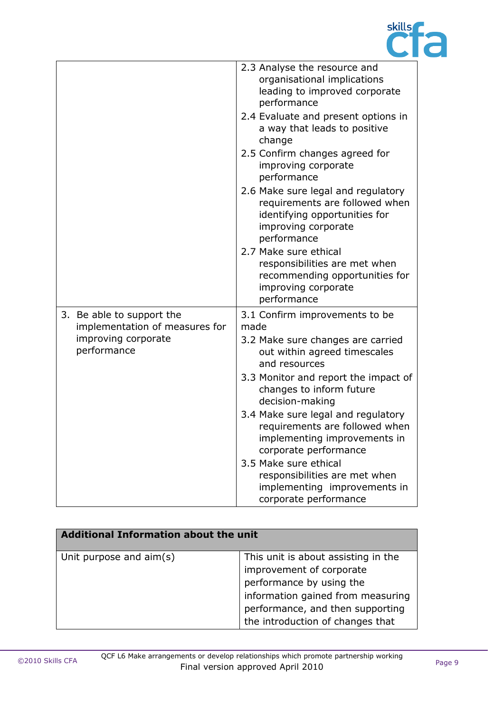

|                                                             | 2.3 Analyse the resource and<br>organisational implications<br>leading to improved corporate<br>performance<br>2.4 Evaluate and present options in |
|-------------------------------------------------------------|----------------------------------------------------------------------------------------------------------------------------------------------------|
|                                                             | a way that leads to positive<br>change                                                                                                             |
|                                                             | 2.5 Confirm changes agreed for<br>improving corporate<br>performance                                                                               |
|                                                             | 2.6 Make sure legal and regulatory<br>requirements are followed when<br>identifying opportunities for<br>improving corporate<br>performance        |
|                                                             | 2.7 Make sure ethical<br>responsibilities are met when<br>recommending opportunities for<br>improving corporate<br>performance                     |
| 3. Be able to support the<br>implementation of measures for | 3.1 Confirm improvements to be<br>made                                                                                                             |
| improving corporate<br>performance                          | 3.2 Make sure changes are carried<br>out within agreed timescales<br>and resources                                                                 |
|                                                             | 3.3 Monitor and report the impact of<br>changes to inform future<br>decision-making                                                                |
|                                                             | 3.4 Make sure legal and regulatory<br>requirements are followed when<br>implementing improvements in<br>corporate performance                      |
|                                                             | 3.5 Make sure ethical<br>responsibilities are met when<br>implementing improvements in<br>corporate performance                                    |

| <b>Additional Information about the unit</b> |                                                                                                                                                                                                          |  |
|----------------------------------------------|----------------------------------------------------------------------------------------------------------------------------------------------------------------------------------------------------------|--|
| Unit purpose and aim(s)                      | This unit is about assisting in the<br>improvement of corporate<br>performance by using the<br>information gained from measuring<br>performance, and then supporting<br>the introduction of changes that |  |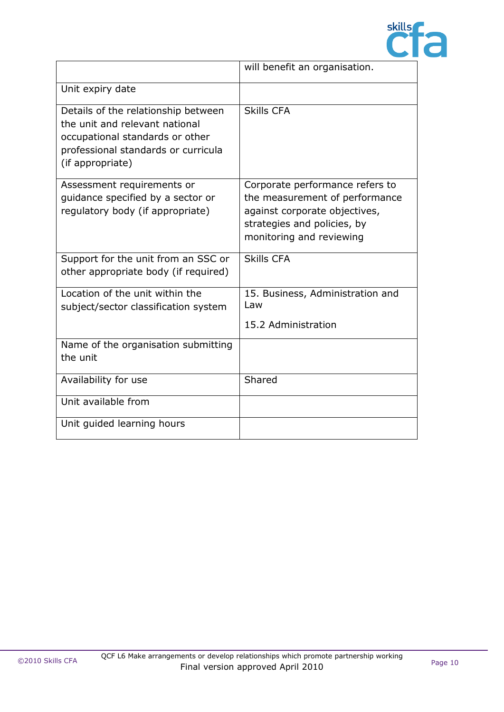

|                                                                                                                                                                     | will benefit an organisation.                                                                                                                                 |
|---------------------------------------------------------------------------------------------------------------------------------------------------------------------|---------------------------------------------------------------------------------------------------------------------------------------------------------------|
| Unit expiry date                                                                                                                                                    |                                                                                                                                                               |
| Details of the relationship between<br>the unit and relevant national<br>occupational standards or other<br>professional standards or curricula<br>(if appropriate) | <b>Skills CFA</b>                                                                                                                                             |
| Assessment requirements or<br>guidance specified by a sector or<br>regulatory body (if appropriate)                                                                 | Corporate performance refers to<br>the measurement of performance<br>against corporate objectives,<br>strategies and policies, by<br>monitoring and reviewing |
| Support for the unit from an SSC or<br>other appropriate body (if required)                                                                                         | <b>Skills CFA</b>                                                                                                                                             |
| Location of the unit within the<br>subject/sector classification system                                                                                             | 15. Business, Administration and<br>Law<br>15.2 Administration                                                                                                |
| Name of the organisation submitting<br>the unit                                                                                                                     |                                                                                                                                                               |
| Availability for use                                                                                                                                                | Shared                                                                                                                                                        |
| Unit available from                                                                                                                                                 |                                                                                                                                                               |
| Unit guided learning hours                                                                                                                                          |                                                                                                                                                               |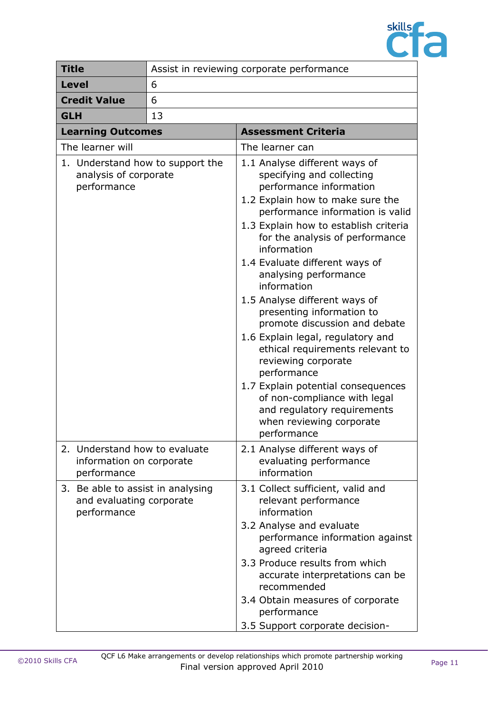

| <b>Title</b>                                                                 | Assist in reviewing corporate performance |                                                                                                                                                                                                                                                                                                                                                                                                                                                                                                                                                                                                                                                                                                  |
|------------------------------------------------------------------------------|-------------------------------------------|--------------------------------------------------------------------------------------------------------------------------------------------------------------------------------------------------------------------------------------------------------------------------------------------------------------------------------------------------------------------------------------------------------------------------------------------------------------------------------------------------------------------------------------------------------------------------------------------------------------------------------------------------------------------------------------------------|
| <b>Level</b>                                                                 | 6                                         |                                                                                                                                                                                                                                                                                                                                                                                                                                                                                                                                                                                                                                                                                                  |
| <b>Credit Value</b><br>6                                                     |                                           |                                                                                                                                                                                                                                                                                                                                                                                                                                                                                                                                                                                                                                                                                                  |
| 13<br><b>GLH</b>                                                             |                                           |                                                                                                                                                                                                                                                                                                                                                                                                                                                                                                                                                                                                                                                                                                  |
| <b>Learning Outcomes</b>                                                     |                                           | <b>Assessment Criteria</b>                                                                                                                                                                                                                                                                                                                                                                                                                                                                                                                                                                                                                                                                       |
| The learner will                                                             |                                           | The learner can                                                                                                                                                                                                                                                                                                                                                                                                                                                                                                                                                                                                                                                                                  |
| 1. Understand how to support the<br>analysis of corporate<br>performance     |                                           | 1.1 Analyse different ways of<br>specifying and collecting<br>performance information<br>1.2 Explain how to make sure the<br>performance information is valid<br>1.3 Explain how to establish criteria<br>for the analysis of performance<br>information<br>1.4 Evaluate different ways of<br>analysing performance<br>information<br>1.5 Analyse different ways of<br>presenting information to<br>promote discussion and debate<br>1.6 Explain legal, regulatory and<br>ethical requirements relevant to<br>reviewing corporate<br>performance<br>1.7 Explain potential consequences<br>of non-compliance with legal<br>and regulatory requirements<br>when reviewing corporate<br>performance |
| 2. Understand how to evaluate<br>information on corporate<br>performance     |                                           | 2.1 Analyse different ways of<br>evaluating performance<br>information                                                                                                                                                                                                                                                                                                                                                                                                                                                                                                                                                                                                                           |
| 3. Be able to assist in analysing<br>and evaluating corporate<br>performance |                                           | 3.1 Collect sufficient, valid and<br>relevant performance<br>information<br>3.2 Analyse and evaluate<br>performance information against<br>agreed criteria<br>3.3 Produce results from which<br>accurate interpretations can be<br>recommended<br>3.4 Obtain measures of corporate<br>performance<br>3.5 Support corporate decision-                                                                                                                                                                                                                                                                                                                                                             |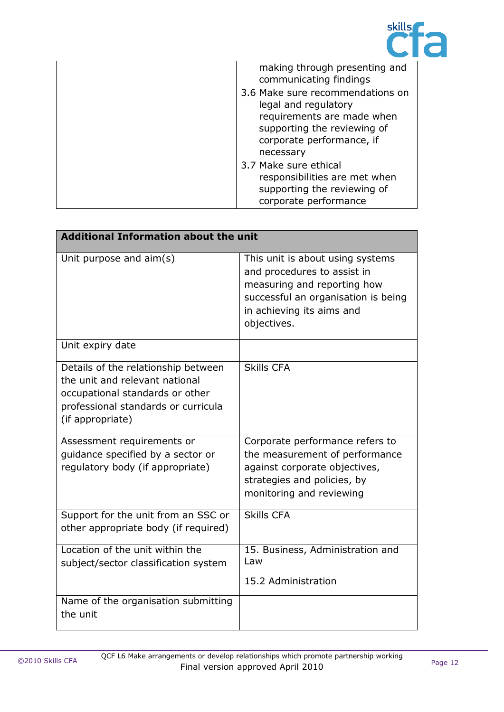

| making through presenting and<br>communicating findings                                                                                                         |
|-----------------------------------------------------------------------------------------------------------------------------------------------------------------|
| 3.6 Make sure recommendations on<br>legal and regulatory<br>requirements are made when<br>supporting the reviewing of<br>corporate performance, if<br>necessary |
| 3.7 Make sure ethical<br>responsibilities are met when<br>supporting the reviewing of<br>corporate performance                                                  |

| <b>Additional Information about the unit</b>                                                                                                                        |                                                                                                                                                                                   |  |
|---------------------------------------------------------------------------------------------------------------------------------------------------------------------|-----------------------------------------------------------------------------------------------------------------------------------------------------------------------------------|--|
| Unit purpose and aim(s)                                                                                                                                             | This unit is about using systems<br>and procedures to assist in<br>measuring and reporting how<br>successful an organisation is being<br>in achieving its aims and<br>objectives. |  |
| Unit expiry date                                                                                                                                                    |                                                                                                                                                                                   |  |
| Details of the relationship between<br>the unit and relevant national<br>occupational standards or other<br>professional standards or curricula<br>(if appropriate) | <b>Skills CFA</b>                                                                                                                                                                 |  |
| Assessment requirements or<br>quidance specified by a sector or<br>regulatory body (if appropriate)                                                                 | Corporate performance refers to<br>the measurement of performance<br>against corporate objectives,<br>strategies and policies, by<br>monitoring and reviewing                     |  |
| Support for the unit from an SSC or<br>other appropriate body (if required)                                                                                         | <b>Skills CFA</b>                                                                                                                                                                 |  |
| Location of the unit within the<br>subject/sector classification system                                                                                             | 15. Business, Administration and<br>Law<br>15.2 Administration                                                                                                                    |  |
|                                                                                                                                                                     |                                                                                                                                                                                   |  |
| Name of the organisation submitting<br>the unit                                                                                                                     |                                                                                                                                                                                   |  |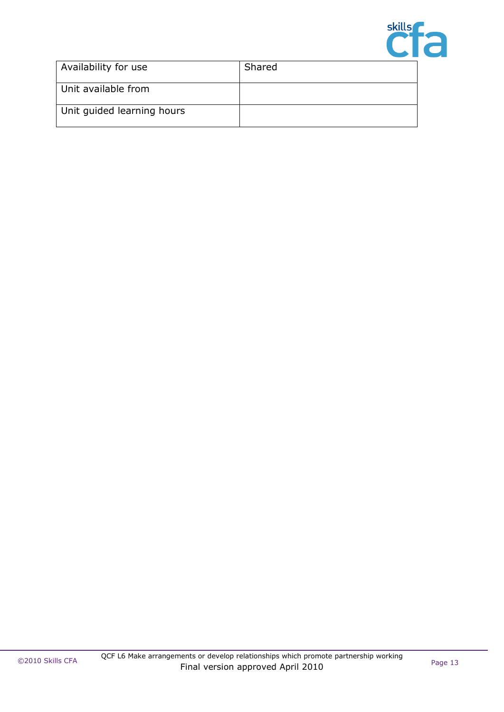

| Availability for use       | Shared |
|----------------------------|--------|
| Unit available from        |        |
| Unit guided learning hours |        |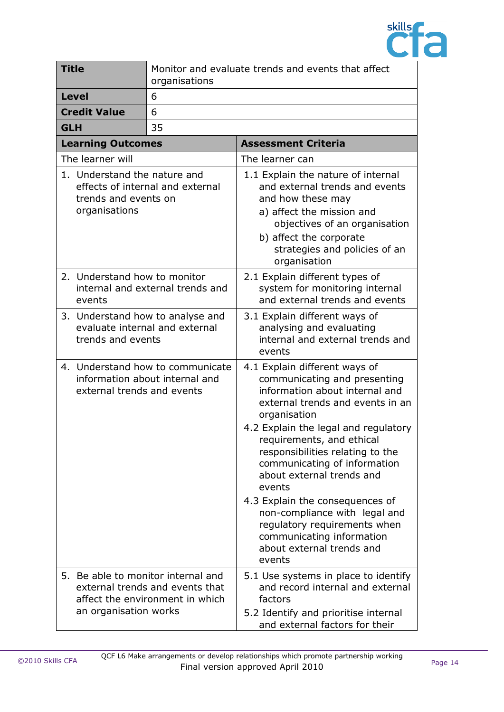

|                                                                                                  | <b>Title</b>                                                                            | Monitor and evaluate trends and events that affect<br>organisations                                      |                                                                                                                                                                                                                                                                                                                                                                                                                                                                                                             |
|--------------------------------------------------------------------------------------------------|-----------------------------------------------------------------------------------------|----------------------------------------------------------------------------------------------------------|-------------------------------------------------------------------------------------------------------------------------------------------------------------------------------------------------------------------------------------------------------------------------------------------------------------------------------------------------------------------------------------------------------------------------------------------------------------------------------------------------------------|
|                                                                                                  | <b>Level</b>                                                                            | 6                                                                                                        |                                                                                                                                                                                                                                                                                                                                                                                                                                                                                                             |
|                                                                                                  | <b>Credit Value</b>                                                                     | 6                                                                                                        |                                                                                                                                                                                                                                                                                                                                                                                                                                                                                                             |
| <b>GLH</b>                                                                                       |                                                                                         | 35                                                                                                       |                                                                                                                                                                                                                                                                                                                                                                                                                                                                                                             |
|                                                                                                  | <b>Learning Outcomes</b>                                                                |                                                                                                          | <b>Assessment Criteria</b>                                                                                                                                                                                                                                                                                                                                                                                                                                                                                  |
|                                                                                                  | The learner will                                                                        |                                                                                                          | The learner can                                                                                                                                                                                                                                                                                                                                                                                                                                                                                             |
|                                                                                                  | 1. Understand the nature and<br>trends and events on<br>organisations                   | effects of internal and external                                                                         | 1.1 Explain the nature of internal<br>and external trends and events<br>and how these may<br>a) affect the mission and<br>objectives of an organisation<br>b) affect the corporate<br>strategies and policies of an<br>organisation                                                                                                                                                                                                                                                                         |
|                                                                                                  | 2. Understand how to monitor<br>events                                                  | internal and external trends and                                                                         | 2.1 Explain different types of<br>system for monitoring internal<br>and external trends and events                                                                                                                                                                                                                                                                                                                                                                                                          |
|                                                                                                  | 3. Understand how to analyse and<br>evaluate internal and external<br>trends and events |                                                                                                          | 3.1 Explain different ways of<br>analysing and evaluating<br>internal and external trends and<br>events                                                                                                                                                                                                                                                                                                                                                                                                     |
| 4. Understand how to communicate<br>information about internal and<br>external trends and events |                                                                                         |                                                                                                          | 4.1 Explain different ways of<br>communicating and presenting<br>information about internal and<br>external trends and events in an<br>organisation<br>4.2 Explain the legal and regulatory<br>requirements, and ethical<br>responsibilities relating to the<br>communicating of information<br>about external trends and<br>events<br>4.3 Explain the consequences of<br>non-compliance with legal and<br>regulatory requirements when<br>communicating information<br>about external trends and<br>events |
|                                                                                                  | an organisation works                                                                   | 5. Be able to monitor internal and<br>external trends and events that<br>affect the environment in which | 5.1 Use systems in place to identify<br>and record internal and external<br>factors<br>5.2 Identify and prioritise internal<br>and external factors for their                                                                                                                                                                                                                                                                                                                                               |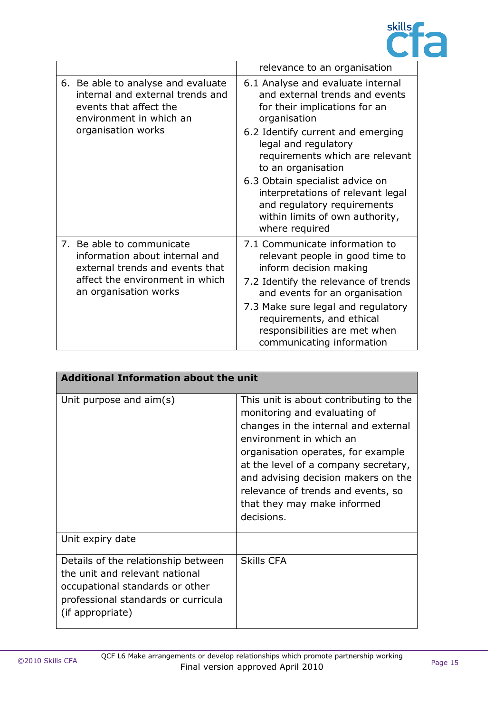

|                                                                                                                                                            | relevance to an organisation                                                                                                                                                                                                                                                                                                                                                                           |
|------------------------------------------------------------------------------------------------------------------------------------------------------------|--------------------------------------------------------------------------------------------------------------------------------------------------------------------------------------------------------------------------------------------------------------------------------------------------------------------------------------------------------------------------------------------------------|
| 6. Be able to analyse and evaluate<br>internal and external trends and<br>events that affect the<br>environment in which an<br>organisation works          | 6.1 Analyse and evaluate internal<br>and external trends and events<br>for their implications for an<br>organisation<br>6.2 Identify current and emerging<br>legal and regulatory<br>requirements which are relevant<br>to an organisation<br>6.3 Obtain specialist advice on<br>interpretations of relevant legal<br>and regulatory requirements<br>within limits of own authority,<br>where required |
| 7. Be able to communicate<br>information about internal and<br>external trends and events that<br>affect the environment in which<br>an organisation works | 7.1 Communicate information to<br>relevant people in good time to<br>inform decision making<br>7.2 Identify the relevance of trends<br>and events for an organisation<br>7.3 Make sure legal and regulatory<br>requirements, and ethical<br>responsibilities are met when<br>communicating information                                                                                                 |

| <b>Additional Information about the unit</b>                                                                                                                        |                                                                                                                                                                                                                                                                                                                                                   |
|---------------------------------------------------------------------------------------------------------------------------------------------------------------------|---------------------------------------------------------------------------------------------------------------------------------------------------------------------------------------------------------------------------------------------------------------------------------------------------------------------------------------------------|
| Unit purpose and $\text{aim}(s)$                                                                                                                                    | This unit is about contributing to the<br>monitoring and evaluating of<br>changes in the internal and external<br>environment in which an<br>organisation operates, for example<br>at the level of a company secretary,<br>and advising decision makers on the<br>relevance of trends and events, so<br>that they may make informed<br>decisions. |
| Unit expiry date                                                                                                                                                    |                                                                                                                                                                                                                                                                                                                                                   |
| Details of the relationship between<br>the unit and relevant national<br>occupational standards or other<br>professional standards or curricula<br>(if appropriate) | <b>Skills CFA</b>                                                                                                                                                                                                                                                                                                                                 |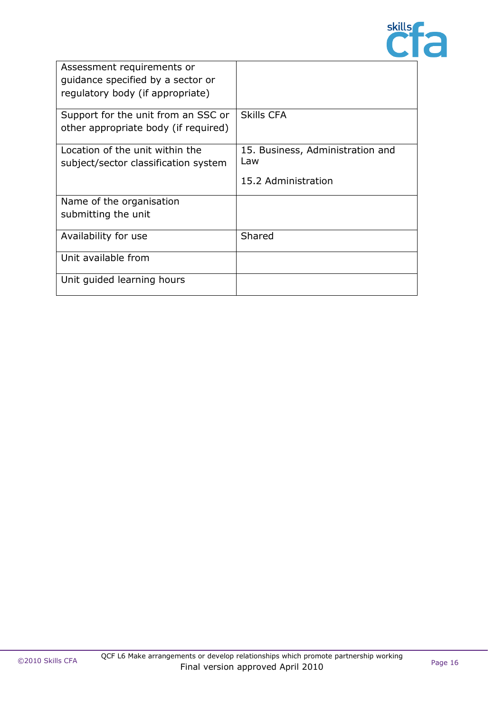

| Assessment requirements or<br>quidance specified by a sector or<br>regulatory body (if appropriate) |                                                                |
|-----------------------------------------------------------------------------------------------------|----------------------------------------------------------------|
| Support for the unit from an SSC or<br>other appropriate body (if required)                         | <b>Skills CFA</b>                                              |
| Location of the unit within the<br>subject/sector classification system                             | 15. Business, Administration and<br>Law<br>15.2 Administration |
| Name of the organisation<br>submitting the unit                                                     |                                                                |
| Availability for use                                                                                | Shared                                                         |
| Unit available from                                                                                 |                                                                |
| Unit guided learning hours                                                                          |                                                                |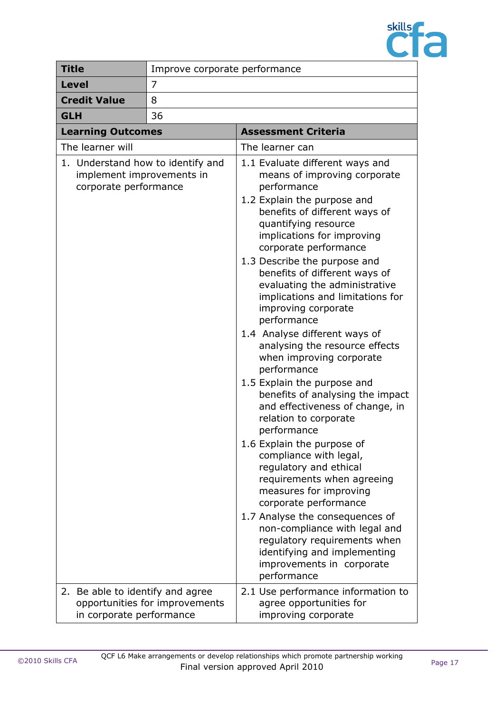

| <b>Title</b>                                                                            | Improve corporate performance  |                                                                                                                                                                                                                                                                                                                                                                                                                                                                                                                                                                                                                                                                                                                                                                                                                                                                                                                                                                                                                          |
|-----------------------------------------------------------------------------------------|--------------------------------|--------------------------------------------------------------------------------------------------------------------------------------------------------------------------------------------------------------------------------------------------------------------------------------------------------------------------------------------------------------------------------------------------------------------------------------------------------------------------------------------------------------------------------------------------------------------------------------------------------------------------------------------------------------------------------------------------------------------------------------------------------------------------------------------------------------------------------------------------------------------------------------------------------------------------------------------------------------------------------------------------------------------------|
| <b>Level</b>                                                                            | 7                              |                                                                                                                                                                                                                                                                                                                                                                                                                                                                                                                                                                                                                                                                                                                                                                                                                                                                                                                                                                                                                          |
| <b>Credit Value</b>                                                                     | 8                              |                                                                                                                                                                                                                                                                                                                                                                                                                                                                                                                                                                                                                                                                                                                                                                                                                                                                                                                                                                                                                          |
| <b>GLH</b>                                                                              | 36                             |                                                                                                                                                                                                                                                                                                                                                                                                                                                                                                                                                                                                                                                                                                                                                                                                                                                                                                                                                                                                                          |
| <b>Learning Outcomes</b>                                                                |                                | <b>Assessment Criteria</b>                                                                                                                                                                                                                                                                                                                                                                                                                                                                                                                                                                                                                                                                                                                                                                                                                                                                                                                                                                                               |
| The learner will                                                                        |                                | The learner can                                                                                                                                                                                                                                                                                                                                                                                                                                                                                                                                                                                                                                                                                                                                                                                                                                                                                                                                                                                                          |
| 1. Understand how to identify and<br>implement improvements in<br>corporate performance |                                | 1.1 Evaluate different ways and<br>means of improving corporate<br>performance<br>1.2 Explain the purpose and<br>benefits of different ways of<br>quantifying resource<br>implications for improving<br>corporate performance<br>1.3 Describe the purpose and<br>benefits of different ways of<br>evaluating the administrative<br>implications and limitations for<br>improving corporate<br>performance<br>1.4 Analyse different ways of<br>analysing the resource effects<br>when improving corporate<br>performance<br>1.5 Explain the purpose and<br>benefits of analysing the impact<br>and effectiveness of change, in<br>relation to corporate<br>performance<br>1.6 Explain the purpose of<br>compliance with legal,<br>regulatory and ethical<br>requirements when agreeing<br>measures for improving<br>corporate performance<br>1.7 Analyse the consequences of<br>non-compliance with legal and<br>regulatory requirements when<br>identifying and implementing<br>improvements in corporate<br>performance |
| 2. Be able to identify and agree<br>in corporate performance                            | opportunities for improvements | 2.1 Use performance information to<br>agree opportunities for<br>improving corporate                                                                                                                                                                                                                                                                                                                                                                                                                                                                                                                                                                                                                                                                                                                                                                                                                                                                                                                                     |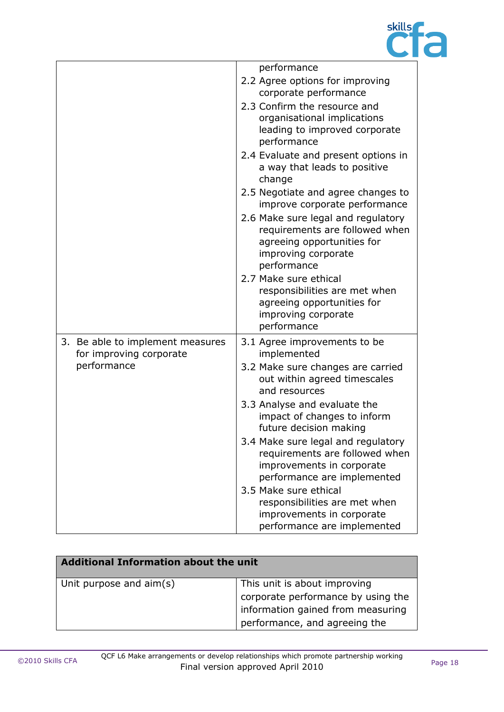

|                                                             | performance                                                                                                                              |
|-------------------------------------------------------------|------------------------------------------------------------------------------------------------------------------------------------------|
|                                                             | 2.2 Agree options for improving<br>corporate performance                                                                                 |
|                                                             | 2.3 Confirm the resource and<br>organisational implications<br>leading to improved corporate<br>performance                              |
|                                                             | 2.4 Evaluate and present options in<br>a way that leads to positive<br>change                                                            |
|                                                             | 2.5 Negotiate and agree changes to<br>improve corporate performance                                                                      |
|                                                             | 2.6 Make sure legal and regulatory<br>requirements are followed when<br>agreeing opportunities for<br>improving corporate<br>performance |
|                                                             | 2.7 Make sure ethical<br>responsibilities are met when<br>agreeing opportunities for<br>improving corporate<br>performance               |
| 3. Be able to implement measures<br>for improving corporate | 3.1 Agree improvements to be<br>implemented                                                                                              |
| performance                                                 | 3.2 Make sure changes are carried<br>out within agreed timescales<br>and resources                                                       |
|                                                             | 3.3 Analyse and evaluate the<br>impact of changes to inform<br>future decision making                                                    |
|                                                             | 3.4 Make sure legal and regulatory<br>requirements are followed when<br>improvements in corporate<br>performance are implemented         |
|                                                             | 3.5 Make sure ethical<br>responsibilities are met when<br>improvements in corporate<br>performance are implemented                       |

| Additional Information about the unit |                                                                                                                                          |  |
|---------------------------------------|------------------------------------------------------------------------------------------------------------------------------------------|--|
| Unit purpose and aim(s)               | This unit is about improving<br>corporate performance by using the<br>information gained from measuring<br>performance, and agreeing the |  |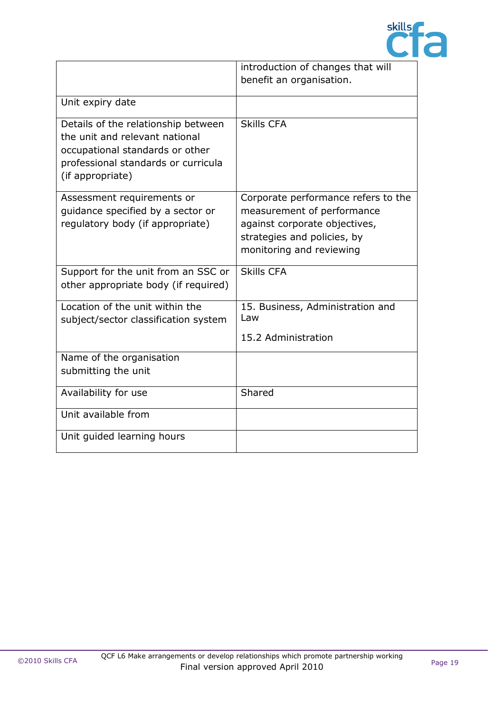

|                                                                                                                                                                     | introduction of changes that will                                                                                                                             |
|---------------------------------------------------------------------------------------------------------------------------------------------------------------------|---------------------------------------------------------------------------------------------------------------------------------------------------------------|
|                                                                                                                                                                     | benefit an organisation.                                                                                                                                      |
| Unit expiry date                                                                                                                                                    |                                                                                                                                                               |
| Details of the relationship between<br>the unit and relevant national<br>occupational standards or other<br>professional standards or curricula<br>(if appropriate) | <b>Skills CFA</b>                                                                                                                                             |
| Assessment requirements or<br>guidance specified by a sector or<br>regulatory body (if appropriate)                                                                 | Corporate performance refers to the<br>measurement of performance<br>against corporate objectives,<br>strategies and policies, by<br>monitoring and reviewing |
| Support for the unit from an SSC or<br>other appropriate body (if required)                                                                                         | <b>Skills CFA</b>                                                                                                                                             |
| Location of the unit within the<br>subject/sector classification system                                                                                             | 15. Business, Administration and<br>Law<br>15.2 Administration                                                                                                |
| Name of the organisation<br>submitting the unit                                                                                                                     |                                                                                                                                                               |
| Availability for use                                                                                                                                                | Shared                                                                                                                                                        |
| Unit available from                                                                                                                                                 |                                                                                                                                                               |
| Unit guided learning hours                                                                                                                                          |                                                                                                                                                               |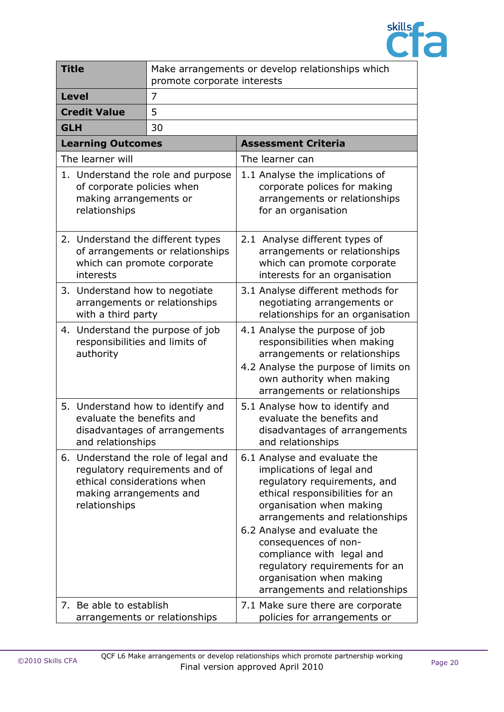

| <b>Title</b>                                                                        | Make arrangements or develop relationships which<br>promote corporate interests |                                                                                                                                                                                                                                                                                                                                                                                 |
|-------------------------------------------------------------------------------------|---------------------------------------------------------------------------------|---------------------------------------------------------------------------------------------------------------------------------------------------------------------------------------------------------------------------------------------------------------------------------------------------------------------------------------------------------------------------------|
| <b>Level</b>                                                                        | $\overline{7}$                                                                  |                                                                                                                                                                                                                                                                                                                                                                                 |
| <b>Credit Value</b>                                                                 | 5                                                                               |                                                                                                                                                                                                                                                                                                                                                                                 |
| <b>GLH</b>                                                                          | 30                                                                              |                                                                                                                                                                                                                                                                                                                                                                                 |
| <b>Learning Outcomes</b>                                                            |                                                                                 | <b>Assessment Criteria</b>                                                                                                                                                                                                                                                                                                                                                      |
| The learner will                                                                    |                                                                                 | The learner can                                                                                                                                                                                                                                                                                                                                                                 |
| of corporate policies when<br>making arrangements or<br>relationships               | 1. Understand the role and purpose                                              | 1.1 Analyse the implications of<br>corporate polices for making<br>arrangements or relationships<br>for an organisation                                                                                                                                                                                                                                                         |
| 2. Understand the different types<br>interests                                      | of arrangements or relationships<br>which can promote corporate                 | 2.1 Analyse different types of<br>arrangements or relationships<br>which can promote corporate<br>interests for an organisation                                                                                                                                                                                                                                                 |
| 3. Understand how to negotiate<br>with a third party                                | arrangements or relationships                                                   | 3.1 Analyse different methods for<br>negotiating arrangements or<br>relationships for an organisation                                                                                                                                                                                                                                                                           |
| 4.<br>responsibilities and limits of<br>authority                                   | Understand the purpose of job                                                   | 4.1 Analyse the purpose of job<br>responsibilities when making<br>arrangements or relationships<br>4.2 Analyse the purpose of limits on<br>own authority when making<br>arrangements or relationships                                                                                                                                                                           |
| 5. Understand how to identify and<br>evaluate the benefits and<br>and relationships | disadvantages of arrangements                                                   | 5.1 Analyse how to identify and<br>evaluate the benefits and<br>disadvantages of arrangements<br>and relationships                                                                                                                                                                                                                                                              |
| ethical considerations when<br>making arrangements and<br>relationships             | 6. Understand the role of legal and<br>regulatory requirements and of           | 6.1 Analyse and evaluate the<br>implications of legal and<br>regulatory requirements, and<br>ethical responsibilities for an<br>organisation when making<br>arrangements and relationships<br>6.2 Analyse and evaluate the<br>consequences of non-<br>compliance with legal and<br>regulatory requirements for an<br>organisation when making<br>arrangements and relationships |
| 7. Be able to establish                                                             | arrangements or relationships                                                   | 7.1 Make sure there are corporate<br>policies for arrangements or                                                                                                                                                                                                                                                                                                               |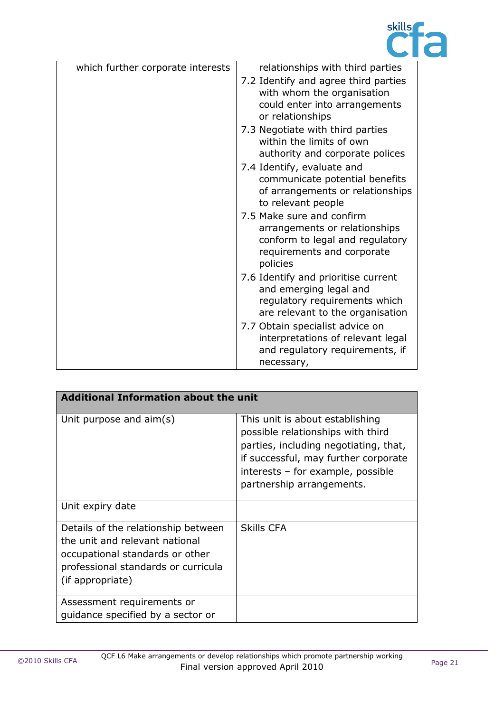

| which further corporate interests | relationships with third parties                                                                                                        |
|-----------------------------------|-----------------------------------------------------------------------------------------------------------------------------------------|
|                                   | 7.2 Identify and agree third parties<br>with whom the organisation<br>could enter into arrangements<br>or relationships                 |
|                                   | 7.3 Negotiate with third parties<br>within the limits of own<br>authority and corporate polices                                         |
|                                   | 7.4 Identify, evaluate and<br>communicate potential benefits<br>of arrangements or relationships<br>to relevant people                  |
|                                   | 7.5 Make sure and confirm<br>arrangements or relationships<br>conform to legal and regulatory<br>requirements and corporate<br>policies |
|                                   | 7.6 Identify and prioritise current<br>and emerging legal and<br>regulatory requirements which<br>are relevant to the organisation      |
|                                   | 7.7 Obtain specialist advice on<br>interpretations of relevant legal<br>and regulatory requirements, if<br>necessary,                   |

| <b>Additional Information about the unit</b>                                                                                                                        |                                                                                                                                                                                                                         |  |
|---------------------------------------------------------------------------------------------------------------------------------------------------------------------|-------------------------------------------------------------------------------------------------------------------------------------------------------------------------------------------------------------------------|--|
| Unit purpose and $\text{aim}(s)$                                                                                                                                    | This unit is about establishing<br>possible relationships with third<br>parties, including negotiating, that,<br>if successful, may further corporate<br>interests - for example, possible<br>partnership arrangements. |  |
| Unit expiry date                                                                                                                                                    |                                                                                                                                                                                                                         |  |
| Details of the relationship between<br>the unit and relevant national<br>occupational standards or other<br>professional standards or curricula<br>(if appropriate) | <b>Skills CFA</b>                                                                                                                                                                                                       |  |
| Assessment requirements or<br>quidance specified by a sector or                                                                                                     |                                                                                                                                                                                                                         |  |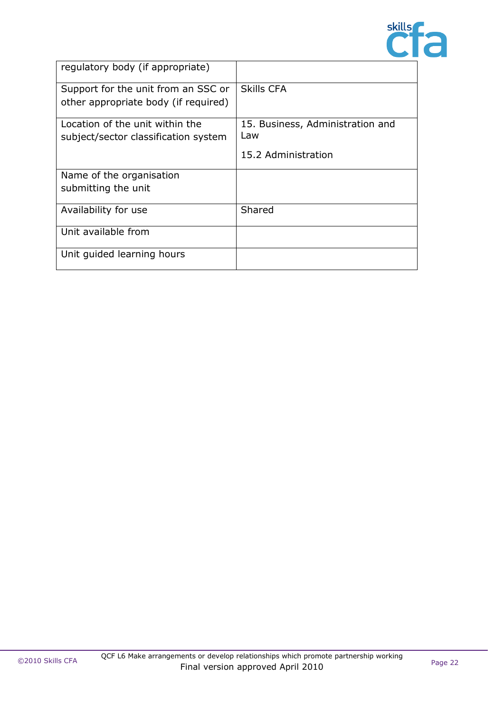

| regulatory body (if appropriate)     |                                  |
|--------------------------------------|----------------------------------|
| Support for the unit from an SSC or  | <b>Skills CFA</b>                |
| other appropriate body (if required) |                                  |
| Location of the unit within the      | 15. Business, Administration and |
| subject/sector classification system | Law                              |
|                                      | 15.2 Administration              |
| Name of the organisation             |                                  |
| submitting the unit                  |                                  |
| Availability for use                 | Shared                           |
| Unit available from                  |                                  |
| Unit guided learning hours           |                                  |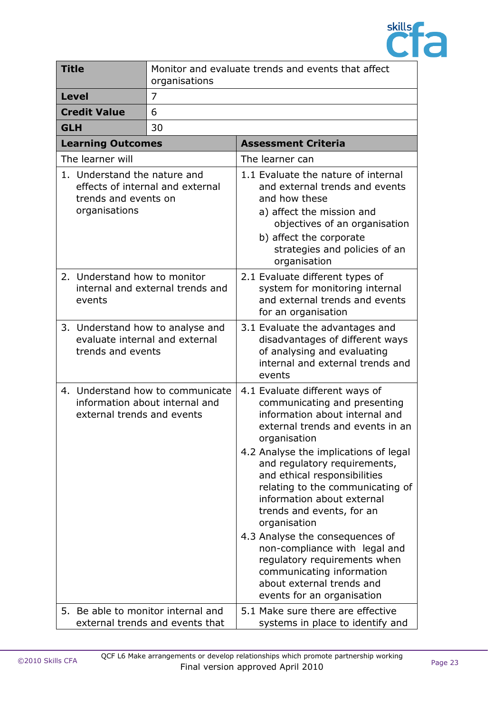

| <b>Title</b>                                                          | organisations                                                      | Monitor and evaluate trends and events that affect                                                                                                                                                                                                                                                                                                                                                                                                                                                                                                                       |
|-----------------------------------------------------------------------|--------------------------------------------------------------------|--------------------------------------------------------------------------------------------------------------------------------------------------------------------------------------------------------------------------------------------------------------------------------------------------------------------------------------------------------------------------------------------------------------------------------------------------------------------------------------------------------------------------------------------------------------------------|
| <b>Level</b>                                                          | $\overline{7}$                                                     |                                                                                                                                                                                                                                                                                                                                                                                                                                                                                                                                                                          |
| <b>Credit Value</b>                                                   | 6                                                                  |                                                                                                                                                                                                                                                                                                                                                                                                                                                                                                                                                                          |
| <b>GLH</b>                                                            | 30                                                                 |                                                                                                                                                                                                                                                                                                                                                                                                                                                                                                                                                                          |
| <b>Learning Outcomes</b>                                              |                                                                    | <b>Assessment Criteria</b>                                                                                                                                                                                                                                                                                                                                                                                                                                                                                                                                               |
| The learner will                                                      |                                                                    | The learner can                                                                                                                                                                                                                                                                                                                                                                                                                                                                                                                                                          |
| 1. Understand the nature and<br>trends and events on<br>organisations | effects of internal and external                                   | 1.1 Evaluate the nature of internal<br>and external trends and events<br>and how these<br>a) affect the mission and<br>objectives of an organisation<br>b) affect the corporate<br>strategies and policies of an<br>organisation                                                                                                                                                                                                                                                                                                                                         |
| 2. Understand how to monitor<br>events                                | internal and external trends and                                   | 2.1 Evaluate different types of<br>system for monitoring internal<br>and external trends and events<br>for an organisation                                                                                                                                                                                                                                                                                                                                                                                                                                               |
| 3. Understand how to analyse and<br>trends and events                 | evaluate internal and external                                     | 3.1 Evaluate the advantages and<br>disadvantages of different ways<br>of analysing and evaluating<br>internal and external trends and<br>events                                                                                                                                                                                                                                                                                                                                                                                                                          |
| external trends and events                                            | 4. Understand how to communicate<br>information about internal and | 4.1 Evaluate different ways of<br>communicating and presenting<br>information about internal and<br>external trends and events in an<br>organisation<br>4.2 Analyse the implications of legal<br>and regulatory requirements,<br>and ethical responsibilities<br>relating to the communicating of<br>information about external<br>trends and events, for an<br>organisation<br>4.3 Analyse the consequences of<br>non-compliance with legal and<br>regulatory requirements when<br>communicating information<br>about external trends and<br>events for an organisation |
| 5. Be able to monitor internal and                                    | external trends and events that                                    | 5.1 Make sure there are effective<br>systems in place to identify and                                                                                                                                                                                                                                                                                                                                                                                                                                                                                                    |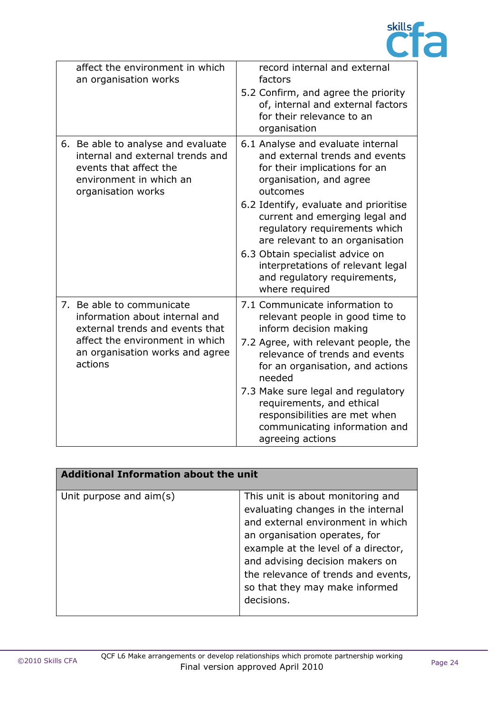

| affect the environment in which<br>an organisation works                                                                                                                        | record internal and external<br>factors<br>5.2 Confirm, and agree the priority<br>of, internal and external factors<br>for their relevance to an<br>organisation                                                                                                                                                                                                                                                     |
|---------------------------------------------------------------------------------------------------------------------------------------------------------------------------------|----------------------------------------------------------------------------------------------------------------------------------------------------------------------------------------------------------------------------------------------------------------------------------------------------------------------------------------------------------------------------------------------------------------------|
| 6. Be able to analyse and evaluate<br>internal and external trends and<br>events that affect the<br>environment in which an<br>organisation works                               | 6.1 Analyse and evaluate internal<br>and external trends and events<br>for their implications for an<br>organisation, and agree<br>outcomes<br>6.2 Identify, evaluate and prioritise<br>current and emerging legal and<br>regulatory requirements which<br>are relevant to an organisation<br>6.3 Obtain specialist advice on<br>interpretations of relevant legal<br>and regulatory requirements,<br>where required |
| 7. Be able to communicate<br>information about internal and<br>external trends and events that<br>affect the environment in which<br>an organisation works and agree<br>actions | 7.1 Communicate information to<br>relevant people in good time to<br>inform decision making<br>7.2 Agree, with relevant people, the<br>relevance of trends and events<br>for an organisation, and actions<br>needed<br>7.3 Make sure legal and regulatory<br>requirements, and ethical<br>responsibilities are met when<br>communicating information and<br>agreeing actions                                         |

| <b>Additional Information about the unit</b> |                                                                                                                                                                                                                                                                                                                |  |
|----------------------------------------------|----------------------------------------------------------------------------------------------------------------------------------------------------------------------------------------------------------------------------------------------------------------------------------------------------------------|--|
| Unit purpose and $\text{aim}(s)$             | This unit is about monitoring and<br>evaluating changes in the internal<br>and external environment in which<br>an organisation operates, for<br>example at the level of a director,<br>and advising decision makers on<br>the relevance of trends and events,<br>so that they may make informed<br>decisions. |  |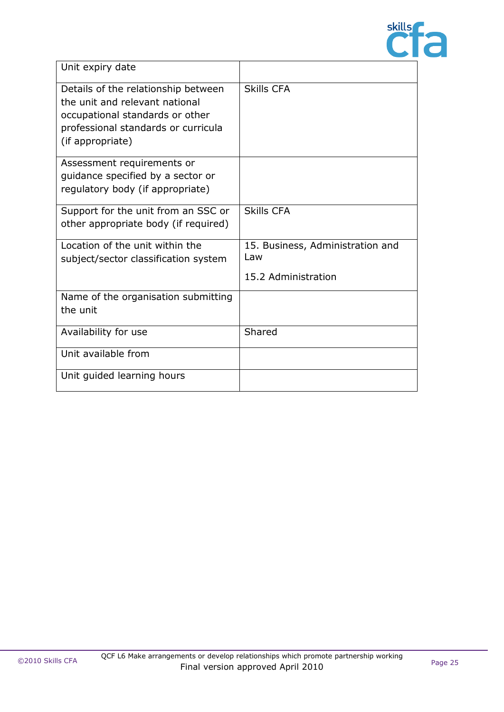

| Unit expiry date                                                                                                                                                    |                                                                |
|---------------------------------------------------------------------------------------------------------------------------------------------------------------------|----------------------------------------------------------------|
| Details of the relationship between<br>the unit and relevant national<br>occupational standards or other<br>professional standards or curricula<br>(if appropriate) | <b>Skills CFA</b>                                              |
| Assessment requirements or<br>guidance specified by a sector or<br>regulatory body (if appropriate)                                                                 |                                                                |
| Support for the unit from an SSC or<br>other appropriate body (if required)                                                                                         | <b>Skills CFA</b>                                              |
| Location of the unit within the<br>subject/sector classification system                                                                                             | 15. Business, Administration and<br>Law<br>15.2 Administration |
| Name of the organisation submitting<br>the unit                                                                                                                     |                                                                |
| Availability for use                                                                                                                                                | Shared                                                         |
| Unit available from                                                                                                                                                 |                                                                |
| Unit guided learning hours                                                                                                                                          |                                                                |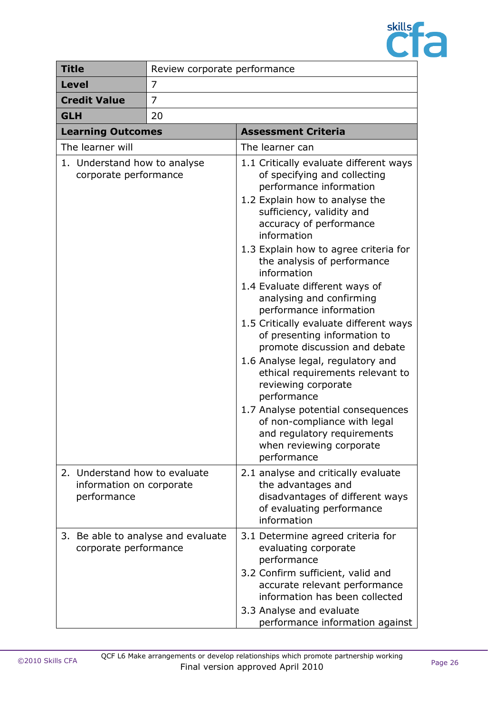

| <b>Title</b>                                                             | Review corporate performance |                                                                                                                                                                                                                                                                                                                                                                                                                                                                                                                                                                                                                                                                                                                                                                      |
|--------------------------------------------------------------------------|------------------------------|----------------------------------------------------------------------------------------------------------------------------------------------------------------------------------------------------------------------------------------------------------------------------------------------------------------------------------------------------------------------------------------------------------------------------------------------------------------------------------------------------------------------------------------------------------------------------------------------------------------------------------------------------------------------------------------------------------------------------------------------------------------------|
| <b>Level</b>                                                             | 7                            |                                                                                                                                                                                                                                                                                                                                                                                                                                                                                                                                                                                                                                                                                                                                                                      |
| <b>Credit Value</b>                                                      | 7                            |                                                                                                                                                                                                                                                                                                                                                                                                                                                                                                                                                                                                                                                                                                                                                                      |
| <b>GLH</b><br>20                                                         |                              |                                                                                                                                                                                                                                                                                                                                                                                                                                                                                                                                                                                                                                                                                                                                                                      |
| <b>Learning Outcomes</b>                                                 |                              | <b>Assessment Criteria</b>                                                                                                                                                                                                                                                                                                                                                                                                                                                                                                                                                                                                                                                                                                                                           |
| The learner will                                                         |                              | The learner can                                                                                                                                                                                                                                                                                                                                                                                                                                                                                                                                                                                                                                                                                                                                                      |
| 1. Understand how to analyse<br>corporate performance                    |                              | 1.1 Critically evaluate different ways<br>of specifying and collecting<br>performance information<br>1.2 Explain how to analyse the<br>sufficiency, validity and<br>accuracy of performance<br>information<br>1.3 Explain how to agree criteria for<br>the analysis of performance<br>information<br>1.4 Evaluate different ways of<br>analysing and confirming<br>performance information<br>1.5 Critically evaluate different ways<br>of presenting information to<br>promote discussion and debate<br>1.6 Analyse legal, regulatory and<br>ethical requirements relevant to<br>reviewing corporate<br>performance<br>1.7 Analyse potential consequences<br>of non-compliance with legal<br>and regulatory requirements<br>when reviewing corporate<br>performance |
| 2. Understand how to evaluate<br>information on corporate<br>performance |                              | 2.1 analyse and critically evaluate<br>the advantages and<br>disadvantages of different ways<br>of evaluating performance<br>information                                                                                                                                                                                                                                                                                                                                                                                                                                                                                                                                                                                                                             |
| 3. Be able to analyse and evaluate<br>corporate performance              |                              | 3.1 Determine agreed criteria for<br>evaluating corporate<br>performance<br>3.2 Confirm sufficient, valid and<br>accurate relevant performance<br>information has been collected<br>3.3 Analyse and evaluate<br>performance information against                                                                                                                                                                                                                                                                                                                                                                                                                                                                                                                      |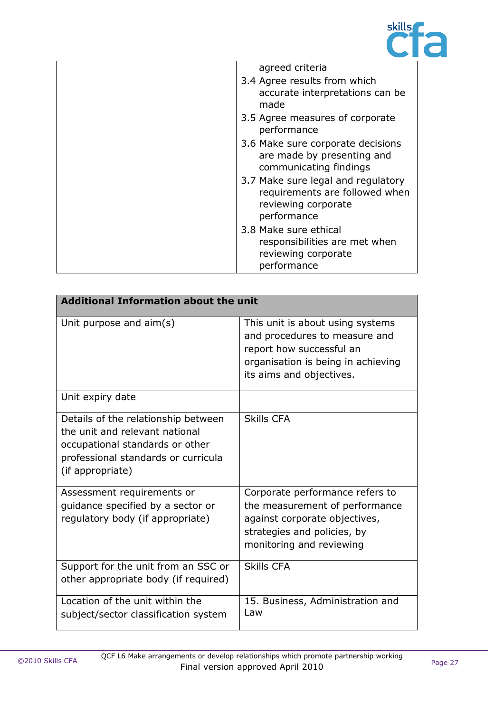

| agreed criteria                                                                                            |
|------------------------------------------------------------------------------------------------------------|
| 3.4 Agree results from which<br>accurate interpretations can be                                            |
| made                                                                                                       |
| 3.5 Agree measures of corporate<br>performance                                                             |
| 3.6 Make sure corporate decisions<br>are made by presenting and<br>communicating findings                  |
| 3.7 Make sure legal and regulatory<br>requirements are followed when<br>reviewing corporate<br>performance |
| 3.8 Make sure ethical<br>responsibilities are met when<br>reviewing corporate<br>performance               |

| <b>Additional Information about the unit</b>                                                                                                                        |                                                                                                                                                                 |
|---------------------------------------------------------------------------------------------------------------------------------------------------------------------|-----------------------------------------------------------------------------------------------------------------------------------------------------------------|
| Unit purpose and aim(s)                                                                                                                                             | This unit is about using systems<br>and procedures to measure and<br>report how successful an<br>organisation is being in achieving<br>its aims and objectives. |
| Unit expiry date                                                                                                                                                    |                                                                                                                                                                 |
| Details of the relationship between<br>the unit and relevant national<br>occupational standards or other<br>professional standards or curricula<br>(if appropriate) | <b>Skills CFA</b>                                                                                                                                               |
| Assessment requirements or<br>guidance specified by a sector or<br>regulatory body (if appropriate)                                                                 | Corporate performance refers to<br>the measurement of performance<br>against corporate objectives,<br>strategies and policies, by<br>monitoring and reviewing   |
| Support for the unit from an SSC or<br>other appropriate body (if required)                                                                                         | <b>Skills CFA</b>                                                                                                                                               |
| Location of the unit within the<br>subject/sector classification system                                                                                             | 15. Business, Administration and<br>Law                                                                                                                         |